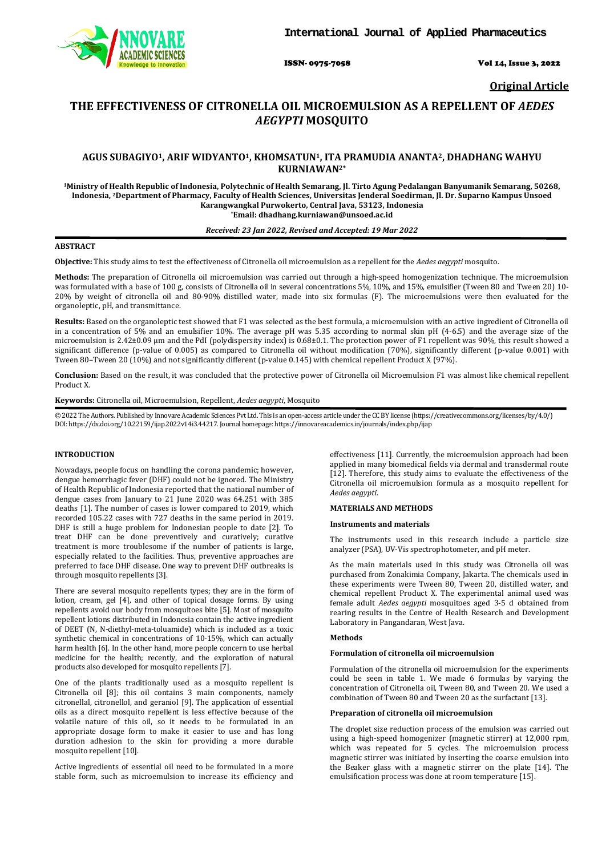

ISSN- 0975-7058 Vol 14, Issue 3, 2022

**Original Article**

# **THE EFFECTIVENESS OF CITRONELLA OIL MICROEMULSION AS A REPELLENT OF** *AEDES AEGYPTI* **MOSQUITO**

## **AGUS SUBAGIYO1, ARIF WIDYANTO1, KHOMSATUN1, ITA PRAMUDIA ANANTA2, DHADHANG WAHYU KURNIAWAN2\***

**1Ministry of Health Republic of Indonesia, Polytechnic of Health Semarang, Jl. Tirto Agung Pedalangan Banyumanik Semarang, 50268, Indonesia, 2Department of Pharmacy, Faculty of Health Sciences, Universitas Jenderal Soedirman, Jl. Dr. Suparno Kampus Unsoed Karangwangkal Purwokerto, Central Java, 53123, Indonesia \*Email[: dhadhang.kurniawan@unsoed.ac.id](mailto:dhadhang.kurniawan@unsoed.ac.id)**

#### *Received: 23 Jan 2022, Revised and Accepted: 19 Mar 2022*

## **ABSTRACT**

**Objective:** This study aims to test the effectiveness of Citronella oil microemulsion as a repellent for the *Aedes aegypti* mosquito.

**Methods:** The preparation of Citronella oil microemulsion was carried out through a high-speed homogenization technique. The microemulsion was formulated with a base of 100 g, consists of Citronella oil in several concentrations 5%, 10%, and 15%, emulsifier (Tween 80 and Tween 20) 10- 20% by weight of citronella oil and 80-90% distilled water, made into six formulas (F). The microemulsions were then evaluated for the organoleptic, pH, and transmittance.

**Results:** Based on the organoleptic test showed that F1 was selected as the best formula, a microemulsion with an active ingredient of Citronella oil in a concentration of 5% and an emulsifier 10%. The average pH was 5.35 according to normal skin pH (4-6.5) and the average size of the microemulsion is 2.42±0.09 µm and the PdI (polydispersity index) is 0.68±0.1. The protection power of F1 repellent was 90%, this result showed a significant difference (p-value of 0.005) as compared to Citronella oil without modification (70%), significantly different (p-value 0.001) with Tween 80–Tween 20 (10%) and not significantly different (p-value 0.145) with chemical repellent Product X (97%).

**Conclusion:** Based on the result, it was concluded that the protective power of Citronella oil Microemulsion F1 was almost like chemical repellent Product X.

**Keywords:** Citronella oil, Microemulsion, Repellent, *Aedes aegypti*, Mosquito

© 2022 The Authors. Published by Innovare Academic Sciences Pvt Ltd. This is an open-access article under the CC BY license [\(https://creativecommons.org/licenses/by/4.0/\)](https://creativecommons.org/licenses/by/4.0/) DOI: https://dx.doi.org/10.22159/ijap.2022v14i3.44217. Journal homepage[: https://innovareacademics.in/journals/index.php/ijap](https://innovareacademics.in/journals/index.php/ijap)

## **INTRODUCTION**

Nowadays, people focus on handling the corona pandemic; however, dengue hemorrhagic fever (DHF) could not be ignored. The Ministry of Health Republic of Indonesia reported that the national number of dengue cases from January to 21 June 2020 was 64.251 with 385 deaths [1]. The number of cases is lower compared to 2019, which recorded 105.22 cases with 727 deaths in the same period in 2019. DHF is still a huge problem for Indonesian people to date [2]. To treat DHF can be done preventively and curatively; curative treatment is more troublesome if the number of patients is large, especially related to the facilities. Thus, preventive approaches are preferred to face DHF disease. One way to prevent DHF outbreaks is through mosquito repellents [3].

There are several mosquito repellents types; they are in the form of lotion, cream, gel [4], and other of topical dosage forms. By using repellents avoid our body from mosquitoes bite [5]. Most of mosquito repellent lotions distributed in Indonesia contain the active ingredient of DEET (N, N-diethyl-meta-toluamide) which is included as a toxic synthetic chemical in concentrations of 10-15%, which can actually harm health [6]. In the other hand, more people concern to use herbal medicine for the health; recently, and the exploration of natural products also developed for mosquito repellents [7].

One of the plants traditionally used as a mosquito repellent is Citronella oil [8]; this oil contains 3 main components, namely citronellal, citronellol, and geraniol [9]. The application of essential oils as a direct mosquito repellent is less effective because of the volatile nature of this oil, so it needs to be formulated in an appropriate dosage form to make it easier to use and has long duration adhesion to the skin for providing a more durable mosquito repellent [10].

Active ingredients of essential oil need to be formulated in a more stable form, such as microemulsion to increase its efficiency and effectiveness [11]. Currently, the microemulsion approach had been applied in many biomedical fields via dermal and transdermal route [12]. Therefore, this study aims to evaluate the effectiveness of the Citronella oil microemulsion formula as a mosquito repellent for *Aedes aegypti*.

## **MATERIALS AND METHODS**

#### **Instruments and materials**

The instruments used in this research include a particle size analyzer (PSA), UV-Vis spectrophotometer, and pH meter.

As the main materials used in this study was Citronella oil was purchased from Zonakimia Company, Jakarta. The chemicals used in these experiments were Tween 80, Tween 20, distilled water, and chemical repellent Product X. The experimental animal used was female adult *Aedes aegypti* mosquitoes aged 3-5 d obtained from rearing results in the Centre of Health Research and Development Laboratory in Pangandaran, West Java.

#### **Methods**

### **Formulation of citronella oil microemulsion**

Formulation of the citronella oil microemulsion for the experiments could be seen in table 1. We made 6 formulas by varying the concentration of Citronella oil, Tween 80, and Tween 20. We used a combination of Tween 80 and Tween 20 as the surfactant [13].

#### **Preparation of citronella oil microemulsion**

The droplet size reduction process of the emulsion was carried out using a high-speed homogenizer (magnetic stirrer) at 12,000 rpm, which was repeated for 5 cycles. The microemulsion process magnetic stirrer was initiated by inserting the coarse emulsion into the Beaker glass with a magnetic stirrer on the plate [14]. The emulsification process was done at room temperature [15].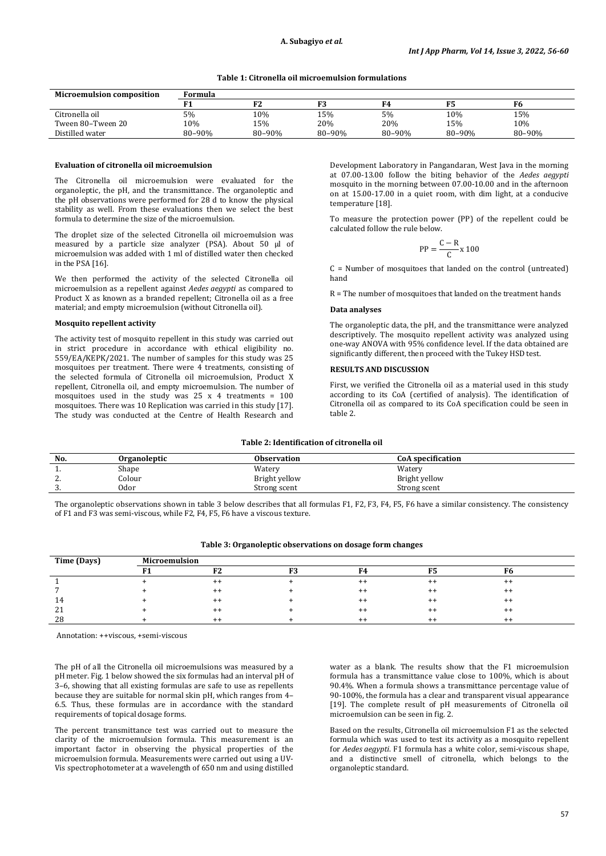## **Table 1: Citronella oil microemulsion formulations**

| <b>Microemulsion composition</b> | Formula |        |        |        |        |        |  |  |
|----------------------------------|---------|--------|--------|--------|--------|--------|--|--|
|                                  |         | F2     | F3     | F4     |        | F6     |  |  |
| Citronella oil                   | 5%      | 10%    | 15%    | 5%     | 10%    | 15%    |  |  |
| Tween 80–Tween 20                | 10%     | 15%    | 20%    | 20%    | 15%    | 10%    |  |  |
| Distilled water                  | 80-90%  | 80-90% | 80-90% | 80-90% | 80-90% | 80-90% |  |  |

#### **Evaluation of citronella oil microemulsion**

The Citronella oil microemulsion were evaluated for the organoleptic, the pH, and the transmittance. The organoleptic and the pH observations were performed for 28 d to know the physical stability as well. From these evaluations then we select the best formula to determine the size of the microemulsion.

The droplet size of the selected Citronella oil microemulsion was measured by a particle size analyzer (PSA). About 50 µl of microemulsion was added with 1 ml of distilled water then checked in the PSA [16].

We then performed the activity of the selected Citronella oil microemulsion as a repellent against *Aedes aegypti* as compared to Product X as known as a branded repellent; Citronella oil as a free material; and empty microemulsion (without Citronella oil).

### **Mosquito repellent activity**

The activity test of mosquito repellent in this study was carried out in strict procedure in accordance with ethical eligibility no. 559/EA/KEPK/2021. The number of samples for this study was 25 mosquitoes per treatment. There were 4 treatments, consisting of the selected formula of Citronella oil microemulsion, Product X repellent, Citronella oil, and empty microemulsion. The number of mosquitoes used in the study was  $25 \times 4$  treatments =  $100$ mosquitoes. There was 10 Replication was carried in this study [17]. The study was conducted at the Centre of Health Research and

Development Laboratory in Pangandaran, West Java in the morning at 07.00-13.00 follow the biting behavior of the *Aedes aegypti* mosquito in the morning between 07.00-10.00 and in the afternoon on at 15.00-17.00 in a quiet room, with dim light, at a conducive temperature [18].

To measure the protection power (PP) of the repellent could be calculated follow the rule below.

$$
PP = \frac{C - R}{C} \times 100
$$

 $C =$  Number of mosquitoes that landed on the control (untreated) hand

R = The number of mosquitoes that landed on the treatment hands

#### **Data analyses**

The organoleptic data, the pH, and the transmittance were analyzed descriptively. The mosquito repellent activity was analyzed using one-way ANOVA with 95% confidence level. If the data obtained are significantly different, then proceed with the Tukey HSD test.

#### **RESULTS AND DISCUSSION**

First, we verified the Citronella oil as a material used in this study according to its CoA (certified of analysis). The identification of Citronella oil as compared to its CoA specification could be seen in table 2.

### **Table 2: Identification of citronella oil**

| No.      | <b>Organoleptic</b> | <b>Observation</b> | <b>CoA specification</b> |
|----------|---------------------|--------------------|--------------------------|
| . .      | Shape               | Watery             | Watery                   |
| <u>.</u> | olour۔              | Bright yellow      | Bright yellow            |
| . ن      | 0dor                | Strong scent       | Strong scent             |

The organoleptic observations shown in table 3 below describes that all formulas F1, F2, F3, F4, F5, F6 have a similar consistency. The consistency of F1 and F3 was semi-viscous, while F2, F4, F5, F6 have a viscous texture.

| Time (Days) | <b>Microemulsion</b> |           |    |         |         |         |  |  |  |
|-------------|----------------------|-----------|----|---------|---------|---------|--|--|--|
|             |                      | <b>DO</b> | 52 | F4      |         |         |  |  |  |
|             |                      | $^{++}$   |    | $^{++}$ | $^{++}$ | $^{++}$ |  |  |  |
|             |                      | $^{++}$   |    | $++$    | $^{++}$ | $^{++}$ |  |  |  |
| 14          |                      | $^{++}$   |    | $++$    | $^{++}$ | $^{++}$ |  |  |  |
| 21          |                      | $^{++}$   |    | $++$    | $^{++}$ | $^{++}$ |  |  |  |
| 28          |                      |           |    | $++$    | $+1$    | $^{++}$ |  |  |  |

#### **Table 3: Organoleptic observations on dosage form changes**

Annotation: ++viscous, +semi-viscous

The pH of all the Citronella oil microemulsions was measured by a pH meter. Fig. 1 below showed the six formulas had an interval pH of 3–6, showing that all existing formulas are safe to use as repellents because they are suitable for normal skin pH, which ranges from 4– 6.5. Thus, these formulas are in accordance with the standard requirements of topical dosage forms.

The percent transmittance test was carried out to measure the clarity of the microemulsion formula. This measurement is an important factor in observing the physical properties of the microemulsion formula. Measurements were carried out using a UV-Vis spectrophotometer at a wavelength of 650 nm and using distilled water as a blank. The results show that the F1 microemulsion formula has a transmittance value close to 100%, which is about 90.4%. When a formula shows a transmittance percentage value of 90-100%, the formula has a clear and transparent visual appearance [19]. The complete result of pH measurements of Citronella oil microemulsion can be seen in fig. 2.

Based on the results, Citronella oil microemulsion F1 as the selected formula which was used to test its activity as a mosquito repellent for *Aedes aegypti*. F1 formula has a white color, semi-viscous shape, and a distinctive smell of citronella, which belongs to the organoleptic standard.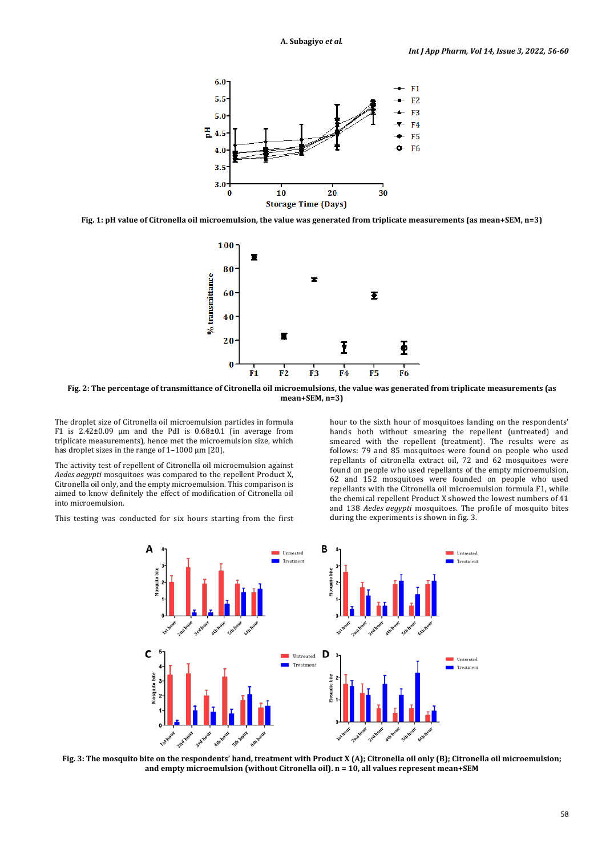

**Fig. 1: pH value of Citronella oil microemulsion, the value was generated from triplicate measurements (as mean+SEM, n=3)**



**Fig. 2: The percentage of transmittance of Citronella oil microemulsions, the value was generated from triplicate measurements (as mean+SEM, n=3)**

The droplet size of Citronella oil microemulsion particles in formula F1 is  $2.42\pm0.09$  µm and the PdI is  $0.68\pm0.1$  (in average from triplicate measurements), hence met the microemulsion size, which has droplet sizes in the range of 1–1000 µm [20].

The activity test of repellent of Citronella oil microemulsion against *Aedes aegypti* mosquitoes was compared to the repellent Product X, Citronella oil only, and the empty microemulsion. This comparison is aimed to know definitely the effect of modification of Citronella oil into microemulsion.

This testing was conducted for six hours starting from the first

hour to the sixth hour of mosquitoes landing on the respondents' hands both without smearing the repellent (untreated) and smeared with the repellent (treatment). The results were as follows: 79 and 85 mosquitoes were found on people who used repellants of citronella extract oil, 72 and 62 mosquitoes were found on people who used repellants of the empty microemulsion, 62 and 152 mosquitoes were founded on people who used repellants with the Citronella oil microemulsion formula F1, while the chemical repellent Product X showed the lowest numbers of 41 and 138 *Aedes aegypti* mosquitoes. The profile of mosquito bites during the experiments is shown in fig. 3.



**Fig. 3: The mosquito bite on the respondents' hand, treatment with Product X (A); Citronella oil only (B); Citronella oil microemulsion; and empty microemulsion (without Citronella oil). n = 10, all values represent mean+SEM**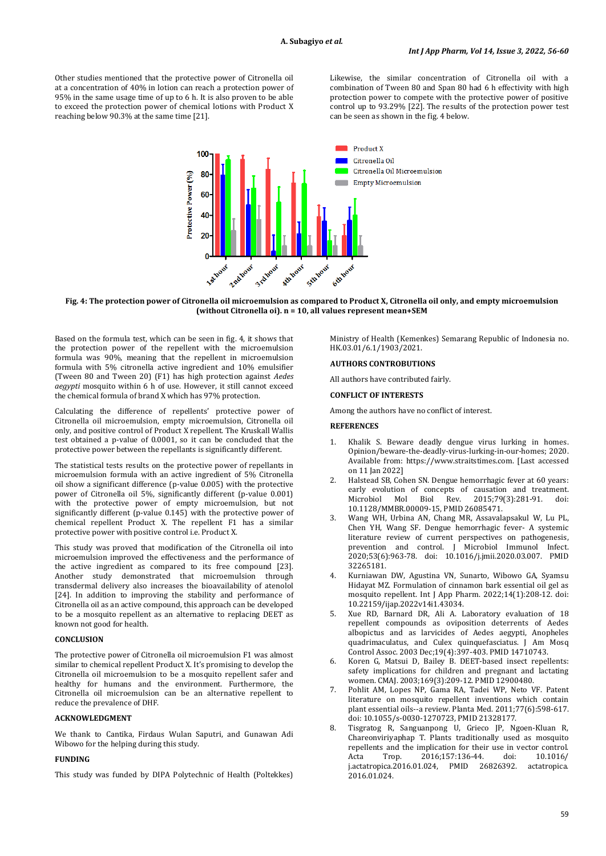Other studies mentioned that the protective power of Citronella oil at a concentration of 40% in lotion can reach a protection power of 95% in the same usage time of up to 6 h. It is also proven to be able to exceed the protection power of chemical lotions with Product X reaching below 90.3% at the same time [21].

Likewise, the similar concentration of Citronella oil with a combination of Tween 80 and Span 80 had 6 h effectivity with high protection power to compete with the protective power of positive control up to 93.29% [22]. The results of the protection power test can be seen as shown in the fig. 4 below.



**Fig. 4: The protection power of Citronella oil microemulsion as compared to Product X, Citronella oil only, and empty microemulsion (without Citronella oi). n = 10, all values represent mean+SEM**

Based on the formula test, which can be seen in fig. 4, it shows that the protection power of the repellent with the microemulsion formula was 90%, meaning that the repellent in microemulsion formula with 5% citronella active ingredient and 10% emulsifier (Tween 80 and Tween 20) (F1) has high protection against *Aedes aegypti* mosquito within 6 h of use. However, it still cannot exceed the chemical formula of brand X which has 97% protection.

Calculating the difference of repellents' protective power of Citronella oil microemulsion, empty microemulsion, Citronella oil only, and positive control of Product X repellent. The Kruskall Wallis test obtained a p-value of 0.0001, so it can be concluded that the protective power between the repellants is significantly different.

The statistical tests results on the protective power of repellants in microemulsion formula with an active ingredient of 5% Citronella oil show a significant difference (p-value 0.005) with the protective power of Citronella oil 5%, significantly different (p-value 0.001) with the protective power of empty microemulsion, but not significantly different (p-value 0.145) with the protective power of chemical repellent Product X. The repellent F1 has a similar protective power with positive control i.e. Product X.

This study was proved that modification of the Citronella oil into microemulsion improved the effectiveness and the performance of the active ingredient as compared to its free compound [23]. Another study demonstrated that microemulsion through transdermal delivery also increases the bioavailability of atenolol [24]. In addition to improving the stability and performance of Citronella oil as an active compound, this approach can be developed to be a mosquito repellent as an alternative to replacing DEET as known not good for health.

## **CONCLUSION**

The protective power of Citronella oil microemulsion F1 was almost similar to chemical repellent Product X. It's promising to develop the Citronella oil microemulsion to be a mosquito repellent safer and healthy for humans and the environment. Furthermore, the Citronella oil microemulsion can be an alternative repellent to reduce the prevalence of DHF.

#### **ACKNOWLEDGMENT**

We thank to Cantika, Firdaus Wulan Saputri, and Gunawan Adi Wibowo for the helping during this study.

### **FUNDING**

This study was funded by DIPA Polytechnic of Health (Poltekkes)

Ministry of Health (Kemenkes) Semarang Republic of Indonesia no. HK.03.01/6.1/1903/2021.

## **AUTHORS CONTROBUTIONS**

All authors have contributed fairly.

## **CONFLICT OF INTERESTS**

Among the authors have no conflict of interest.

### **REFERENCES**

- 1. Khalik S. Beware deadly dengue virus lurking in homes. Opinion/beware-the-deadly-virus-lurking-in-our-homes; 2020. Available from: [https://www.straitstimes.com.](https://www.straitstimes.com/) [Last accessed on 11 Jan 2022]
- 2. Halstead SB, Cohen SN. Dengue hemorrhagic fever at 60 years: early evolution of concepts of causation and treatment.<br>Microbiol Mol Biol Rev. 2015;79(3):281-91. doi: Microbiol Mol Biol Rev. 2015;79(3):281-91. doi: [10.1128/MMBR.00009-15,](https://doi.org/10.1128/MMBR.00009-15) PMI[D 26085471.](https://www.ncbi.nlm.nih.gov/pubmed/26085471)
- 3. Wang WH, Urbina AN, Chang MR, Assavalapsakul W, Lu PL, Chen YH, Wang SF. Dengue hemorrhagic fever- A systemic literature review of current perspectives on pathogenesis, prevention and control. J Microbiol Immunol Infect. 2020;53(6):963-78. doi: [10.1016/j.jmii.2020.03.007.](https://doi.org/10.1016/j.jmii.2020.03.007) PMID [32265181.](https://www.ncbi.nlm.nih.gov/pubmed/32265181)
- Kurniawan DW, Agustina VN, Sunarto, Wibowo GA, Syamsu Hidayat MZ. Formulation of cinnamon bark essential oil gel as mosquito repellent. Int J App Pharm. 2022;14(1):208-12. doi: [10.22159/ijap.2022v14i1.43034.](https://doi.org/10.22159/ijap.2022v14i1.43034)
- 5. Xue RD, Barnard DR, Ali A. Laboratory evaluation of 18 repellent compounds as oviposition deterrents of Aedes albopictus and as larvicides of Aedes aegypti, Anopheles quadrimaculatus, and Culex quinquefasciatus. J Am Mosq Control Assoc. 2003 Dec;19(4):397-403. PMI[D 14710743.](https://www.ncbi.nlm.nih.gov/pubmed/14710743)
- 6. Koren G, Matsui D, Bailey B. DEET-based insect repellents: safety implications for children and pregnant and lactating women. CMAJ. 2003;169(3):209-12. PMI[D 12900480.](https://www.ncbi.nlm.nih.gov/pubmed/12900480)
- 7. Pohlit AM, Lopes NP, Gama RA, Tadei WP, Neto VF. Patent literature on mosquito repellent inventions which contain plant essential oils--a review. Planta Med. 2011;77(6):598-617. doi[: 10.1055/s-0030-1270723,](https://doi.org/10.1055/s-0030-1270723) PMI[D 21328177.](https://www.ncbi.nlm.nih.gov/pubmed/21328177)
- 8. Tisgratog R, Sanguanpong U, Grieco JP, Ngoen-Kluan R, Chareonviriyaphap T. Plants traditionally used as mosquito repellents and the implication for their use in vector control.<br>Acta Trop. 2016;157:136-44. doi: 10.1016/ 2016;157:136-44. doi: [10.1016/](https://doi.org/10.1016/j.actatropica.2016.01.024)<br>1.024. PMID 26826392. actatropica. [j.actatropica.2016.01.024,](https://doi.org/10.1016/j.actatropica.2016.01.024) PMID 26826392. 2016.01.024.